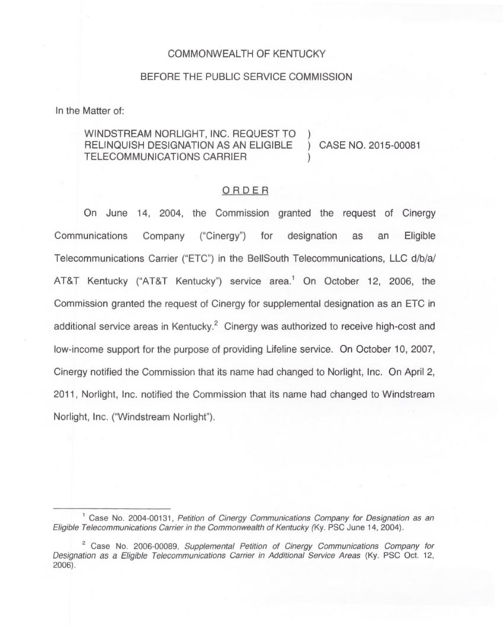## COMMONWEALTH OF KENTUCKY

## BEFORE THE PUBLIC SERVICE COMMISSION

In the Matter of:

WINDSTREAM NORLIGHT, INC. REQUEST TO ) RELINQUISH DESIGNATION AS AN ELIGIBLE ) CASE NO. 2015-00081 TELECOMMUNICATIONS CARRIER

## ORDER

On June 14, 2004, the Commission granted the request of Cinergy Communications Company ("Cinergy") for designation as an Eligible Telecommunications Carrier ("ETC") in the BellSouth Telecommunications, LLC d/b/a/ AT&T Kentucky ("AT&T Kentucky") service area.<sup>1</sup> On October 12, 2006, the Commission granted the request of Cinergy for supplemental designation as an ETC in additional service areas in Kentucky. $2$  Cinergy was authorized to receive high-cost and low-income support for the purpose of providing Lifeline service. On October 10, 2007, Cinergy notified the Commission that its name had changed to Norlight, Inc. On April 2, 2011, Norlight, Inc. notified the Commission that its name had changed to Windstream Norlight, Inc. ("Windstream Norlight").

Case No. 2004-00131, Petition of Cinergy Communications Company for Designation as an Eligible Telecommunications Carrier in the Commonwealth of Kentucky (Ky. PSC June 14, 2004).

<sup>&</sup>lt;sup>2</sup> Case No. 2006-00089, Supplemental Petition of Cinergy Communications Company for Designation as a Eligible Telecommunications Carrier in Additional Service Areas (Ky. PSC Oct. 12, 2006).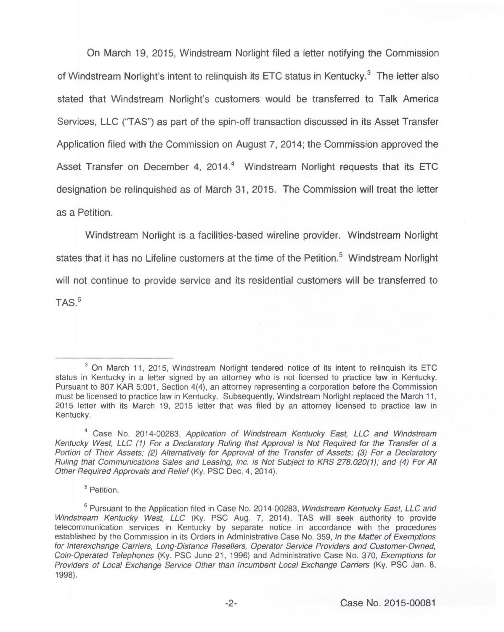On March 19, 2015, Windstream Norlight filed a letter notifying the Commission of Windstream Norlight's intent to relinquish its ETC status in Kentucky.<sup>3</sup> The letter also stated that Windstream Norlight's customers would be transferred to Talk America Services, LLC ("TAS") as part of the spin-off transaction discussed in its Asset Transfer Application filed with the Commission on August 7, 2014; the Commission approved the Asset Transfer on December 4, 2014.<sup>4</sup> Windstream Norlight requests that its ETC designation be relinquished as of March 31, 2015. The Commission will treat the letter as a Petition.

Windstream Norlight is a facilities-based wireline provider. Windstream Norlight states that it has no Lifeline customers at the time of the Petition.<sup>5</sup> Windstream Norlight will not continue to provide service and its residential customers will be transferred to  $TAS.<sup>6</sup>$ 

<sup>5</sup> Petition.

 $3$  On March 11, 2015, Windstream Norlight tendered notice of its intent to relinquish its ETC status in Kentucky in a letter signed by an attorney who is not licensed to practice law in Kentucky. Pursuant to 807 KAR 5:001, Section 4(4), an attorney representing a corporation before the Commission must be licensed to practice law in Kentucky. Subsequently, Windstream Norlight replaced the March 11, 2015 letter with its March 19, 2015 letter that was filed by an attorney licensed to practice law in Kentucky.

<sup>&</sup>lt;sup>4</sup> Case No. 2014-00283, Application of Windstream Kentucky East, LLC and Windstream Kentucky West, LLC (1) For a Declaratory Ruling that Approval is Not Required for the Transfer of a Portion of Their Assets; (2) Alternatively for Approval of the Transfer of Assets; (3) For a Declaratory Ruling that Communications Sales and Leasing, Inc. is Not Subject to KRS 278.020(1); and (4) For AII Other Required Approvals and Relief (Ky. PSC Dec. 4, 2014).

 $6$  Pursuant to the Application filed in Case No. 2014-00283, Windstream Kentucky East, LLC and Windstream Kentucky West, LLC (Ky. PSC Aug. 7, 2014), TAS will seek authority to provide telecommunication services in Kentucky by separate notice in accordance with the procedures established by the Commission in its Orders in Administrative Case No. 359, In the Matter of Exemptions for Interexchange Carriers, Long-Distance Resellers, Operator Service Providers and Customer-Owned, Coin-Operated Telephones (Ky. PSC June 21, 1996) and Administrative Case No. 370, Exemptions for Providers of Local Exchange Service Other than Incumbent Local Exchange Carriers (Ky. PSC Jan. 8, 1998).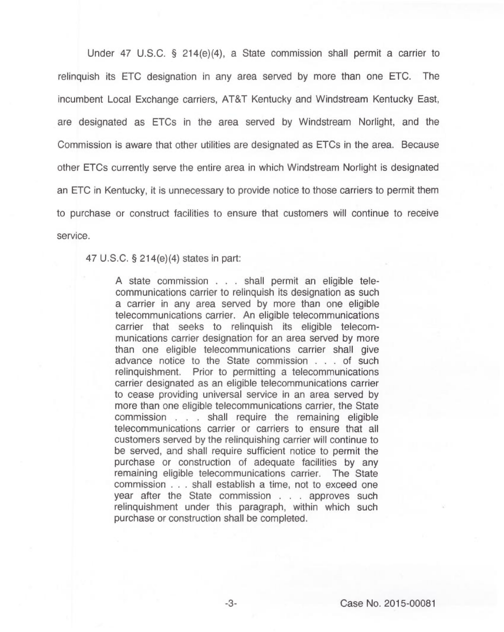Under 47 U.S.C. 5 214(e)(4), a State commission shall permit a carrier to relinquish its ETC designation in any area served by more than one ETC. The incumbent Local Exchange carriers, AT&T Kentucky and Windstream Kentucky East, are designated as ETCs in the area served by Windstream Norlight, and the Commission is aware that other utilities are designated as ETCs in the area. Because other ETCs currently serve the entire area in which Windstream Norlight is designated an ETC in Kentucky, it is unnecessary to provide notice to those carriers to permit them to purchase or construct facilities to ensure that customers will continue to receive service.

47 U.S.C. 5 214(e)(4) states in part:

<sup>A</sup> state commission... shall permit an eligible telecommunications carrier to relinquish its designation as such a carrier in any area served by more than one eligible telecommunications carrier. An eligible telecommunications carrier that seeks to relinquish its eligible telecommunications carrier designation for an area served by more than one eligible telecommunications carrier shall give advance notice to the State commission... of such relinquishment. Prior to permitting a telecommunications carrier designated as an eligible telecommunications carrier to cease providing universal service in an area served by more than one eligible telecommunications carrier, the State commission... shall require the remaining eligible telecommunications carrier or carriers to ensure that all customers served by the relinquishing carrier will continue to be served, and shall require sufficient notice to permit the purchase or construction of adequate facilities by any remaining eligible telecommunications carrier. The State commission... shall establish a time, not to exceed one year after the State commission... approves such relinquishment under this paragraph, within which such purchase or construction shall be completed.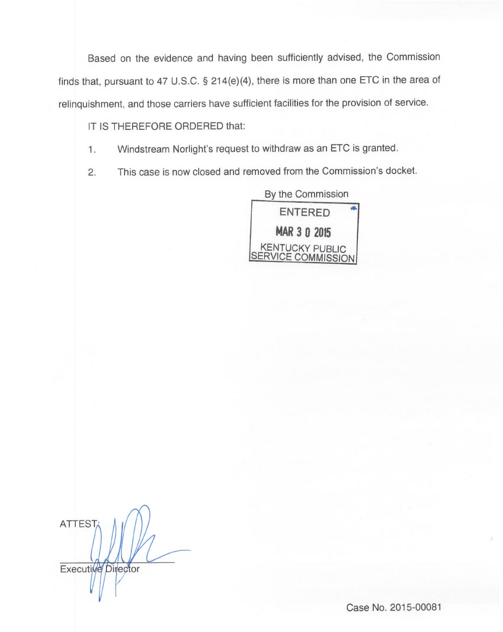Based on the evidence and having been sufficiently advised, the Commission finds that, pursuant to 47 U.S.C. § 214(e)(4), there is more than one ETC in the area of relinquishment, and those carriers have sufficient facilities for the provision of service.

IT IS THEREFORE ORDERED that:

- Windstream Norlight's request to withdraw as an ETC is granted.  $1.$
- 2. This case is now closed and removed from the Commission's docket.

By the Commission ENTERED MAR 3 0 2015 KENTUCKY PUBLIC SERVICE COMMISSION

**ATTEST Executive Director** 

Case No. 2015-00081